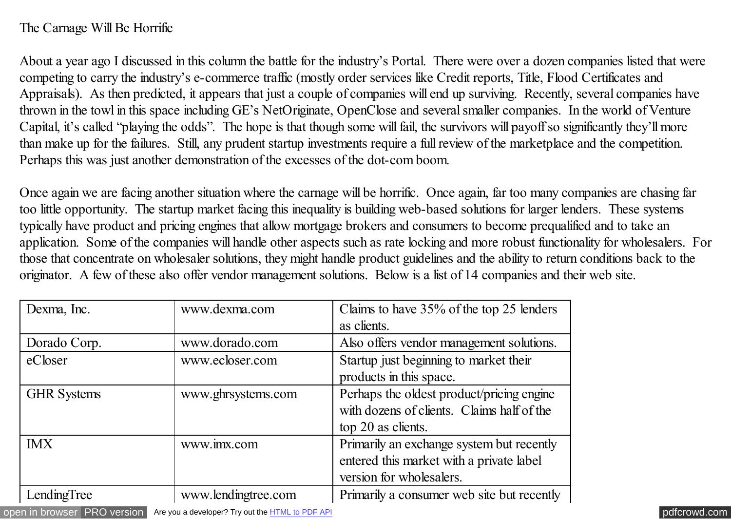## The Carnage Will Be Horrific

About a year ago I discussed in this column the battle for the industry's Portal. There were over a dozen companies listed that were competing to carry the industry's e-commerce traffic (mostly order services like Credit reports, Title, Flood Certificates and Appraisals). As then predicted, it appears that just a couple of companies will end up surviving. Recently, several companies have thrown in the towl in this space including GE's NetOriginate, OpenClose and several smaller companies. In the world of Venture Capital, it's called "playing the odds". The hope is that though some will fail, the survivors will payoff so significantly they'll more than make up for the failures. Still, any prudent startup investments require a full review of the marketplace and the competition. Perhaps this was just another demonstration of the excesses of the dot-com boom.

Once again we are facing another situation where the carnage will be horrific. Once again, far too many companies are chasing far too little opportunity. The startup market facing this inequality is building web-based solutions for larger lenders. These systems typically have product and pricing engines that allow mortgage brokers and consumers to become prequalified and to take an application. Some of the companies will handle other aspects such as rate locking and more robust functionality for wholesalers. For those that concentrate on wholesaler solutions, they might handle product guidelines and the ability to return conditions back to the originator. A few of these also offer vendor management solutions. Below is a list of 14 companies and their web site.

| Dexma, Inc.        | www.dexma.com       | Claims to have 35% of the top 25 lenders<br>as clients.                                                           |
|--------------------|---------------------|-------------------------------------------------------------------------------------------------------------------|
| Dorado Corp.       | www.dorado.com      | Also offers vendor management solutions.                                                                          |
| eCloser            | www.ecloser.com     | Startup just beginning to market their<br>products in this space.                                                 |
| <b>GHR</b> Systems | www.ghrsystems.com  | Perhaps the oldest product/pricing engine<br>with dozens of clients. Claims half of the<br>top 20 as clients.     |
| <b>IMX</b>         | www.imx.com         | Primarily an exchange system but recently<br>entered this market with a private label<br>version for wholesalers. |
| LendingTree        | www.lendingtree.com | Primarily a consumer web site but recently                                                                        |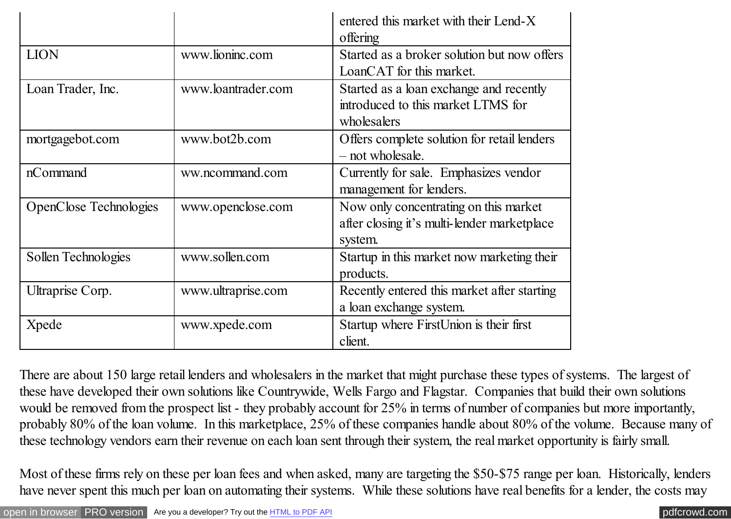|                               |                    | entered this market with their Lend-X<br>offering                                               |
|-------------------------------|--------------------|-------------------------------------------------------------------------------------------------|
| <b>LION</b>                   | www.lioninc.com    | Started as a broker solution but now offers<br>LoanCAT for this market.                         |
| Loan Trader, Inc.             | www.loantrader.com | Started as a loan exchange and recently<br>introduced to this market LTMS for<br>wholesalers    |
| mortgagebot.com               | www.bot2b.com      | Offers complete solution for retail lenders<br>- not wholesale.                                 |
| nCommand                      | ww.ncommand.com    | Currently for sale. Emphasizes vendor<br>management for lenders.                                |
| <b>OpenClose Technologies</b> | www.openclose.com  | Now only concentrating on this market<br>after closing it's multi-lender marketplace<br>system. |
| Sollen Technologies           | www.sollen.com     | Startup in this market now marketing their<br>products.                                         |
| Ultraprise Corp.              | www.ultraprise.com | Recently entered this market after starting<br>a loan exchange system.                          |
| Xpede                         | www.xpede.com      | Startup where FirstUnion is their first<br>client.                                              |

There are about 150 large retail lenders and wholesalers in the market that might purchase these types of systems. The largest of these have developed their own solutions like Countrywide, Wells Fargo and Flagstar. Companies that build their own solutions would be removed from the prospect list - they probably account for 25% in terms of number of companies but more importantly, probably 80% of the loan volume. In this marketplace, 25% of these companies handle about 80% of the volume. Because many of these technology vendors earn their revenue on each loan sent through their system, the real market opportunity is fairly small.

Most of these firms rely on these per loan fees and when asked, many are targeting the \$50-\$75 range per loan. Historically, lenders have never spent this much per loan on automating their systems. While these solutions have real benefits for a lender, the costs may